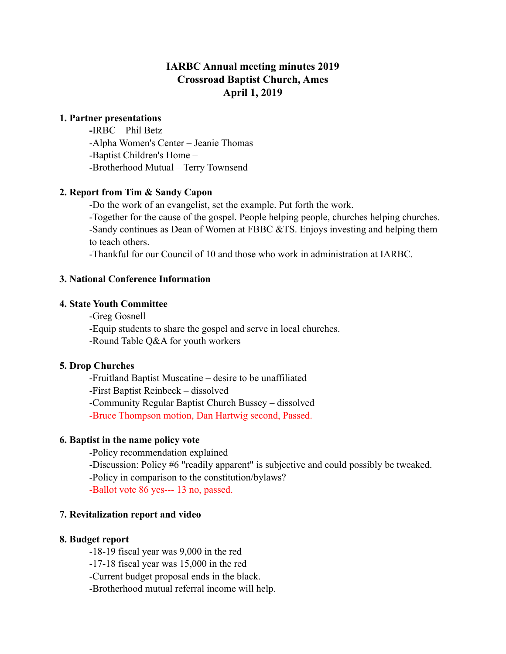# **IARBC Annual meeting minutes 2019 Crossroad Baptist Church, Ames April 1, 2019**

### **1. Partner presentations**

 **-**IRBC – Phil Betz -Alpha Women's Center – Jeanie Thomas -Baptist Children's Home – -Brotherhood Mutual – Terry Townsend

## **2. Report from Tim & Sandy Capon**

-Do the work of an evangelist, set the example. Put forth the work.

 -Together for the cause of the gospel. People helping people, churches helping churches. -Sandy continues as Dean of Women at FBBC &TS. Enjoys investing and helping them to teach others.

-Thankful for our Council of 10 and those who work in administration at IARBC.

## **3. National Conference Information**

## **4. State Youth Committee**

-Greg Gosnell

-Equip students to share the gospel and serve in local churches.

-Round Table Q&A for youth workers

#### **5. Drop Churches**

 -Fruitland Baptist Muscatine – desire to be unaffiliated -First Baptist Reinbeck – dissolved -Community Regular Baptist Church Bussey – dissolved -Bruce Thompson motion, Dan Hartwig second, Passed.

# **6. Baptist in the name policy vote**

 -Policy recommendation explained -Discussion: Policy #6 "readily apparent" is subjective and could possibly be tweaked. -Policy in comparison to the constitution/bylaws? -Ballot vote 86 yes--- 13 no, passed.

#### **7. Revitalization report and video**

#### **8. Budget report**

-18-19 fiscal year was 9,000 in the red

-17-18 fiscal year was 15,000 in the red

-Current budget proposal ends in the black.

-Brotherhood mutual referral income will help.